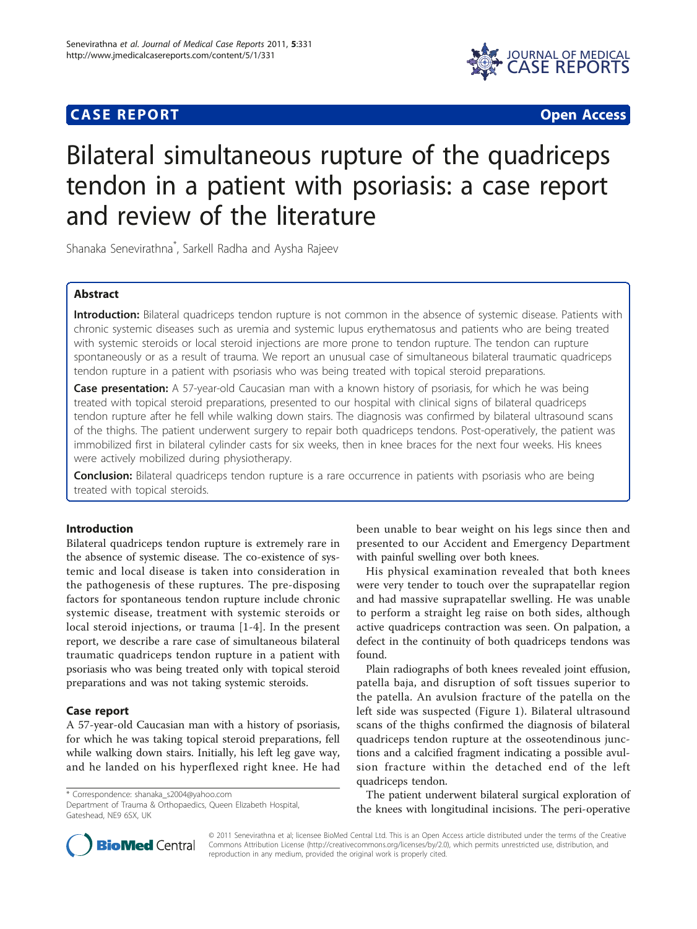## **CASE REPORT CASE REPORT CASE REPORT**



# Bilateral simultaneous rupture of the quadriceps tendon in a patient with psoriasis: a case report and review of the literature

Shanaka Senevirathna\* , Sarkell Radha and Aysha Rajeev

## Abstract

Introduction: Bilateral quadriceps tendon rupture is not common in the absence of systemic disease. Patients with chronic systemic diseases such as uremia and systemic lupus erythematosus and patients who are being treated with systemic steroids or local steroid injections are more prone to tendon rupture. The tendon can rupture spontaneously or as a result of trauma. We report an unusual case of simultaneous bilateral traumatic quadriceps tendon rupture in a patient with psoriasis who was being treated with topical steroid preparations.

Case presentation: A 57-year-old Caucasian man with a known history of psoriasis, for which he was being treated with topical steroid preparations, presented to our hospital with clinical signs of bilateral quadriceps tendon rupture after he fell while walking down stairs. The diagnosis was confirmed by bilateral ultrasound scans of the thighs. The patient underwent surgery to repair both quadriceps tendons. Post-operatively, the patient was immobilized first in bilateral cylinder casts for six weeks, then in knee braces for the next four weeks. His knees were actively mobilized during physiotherapy.

**Conclusion:** Bilateral quadriceps tendon rupture is a rare occurrence in patients with psoriasis who are being treated with topical steroids.

## Introduction

Bilateral quadriceps tendon rupture is extremely rare in the absence of systemic disease. The co-existence of systemic and local disease is taken into consideration in the pathogenesis of these ruptures. The pre-disposing factors for spontaneous tendon rupture include chronic systemic disease, treatment with systemic steroids or local steroid injections, or trauma [[1-4](#page-3-0)]. In the present report, we describe a rare case of simultaneous bilateral traumatic quadriceps tendon rupture in a patient with psoriasis who was being treated only with topical steroid preparations and was not taking systemic steroids.

#### Case report

A 57-year-old Caucasian man with a history of psoriasis, for which he was taking topical steroid preparations, fell while walking down stairs. Initially, his left leg gave way, and he landed on his hyperflexed right knee. He had

\* Correspondence: [shanaka\\_s2004@yahoo.com](mailto:shanaka_s2004@yahoo.com)

Department of Trauma & Orthopaedics, Queen Elizabeth Hospital, Gateshead, NF9 6SX, UK

been unable to bear weight on his legs since then and presented to our Accident and Emergency Department with painful swelling over both knees.

His physical examination revealed that both knees were very tender to touch over the suprapatellar region and had massive suprapatellar swelling. He was unable to perform a straight leg raise on both sides, although active quadriceps contraction was seen. On palpation, a defect in the continuity of both quadriceps tendons was found.

Plain radiographs of both knees revealed joint effusion, patella baja, and disruption of soft tissues superior to the patella. An avulsion fracture of the patella on the left side was suspected (Figure [1\)](#page-1-0). Bilateral ultrasound scans of the thighs confirmed the diagnosis of bilateral quadriceps tendon rupture at the osseotendinous junctions and a calcified fragment indicating a possible avulsion fracture within the detached end of the left quadriceps tendon.

The patient underwent bilateral surgical exploration of the knees with longitudinal incisions. The peri-operative



© 2011 Senevirathna et al; licensee BioMed Central Ltd. This is an Open Access article distributed under the terms of the Creative Commons Attribution License [\(http://creativecommons.org/licenses/by/2.0](http://creativecommons.org/licenses/by/2.0)), which permits unrestricted use, distribution, and reproduction in any medium, provided the original work is properly cited.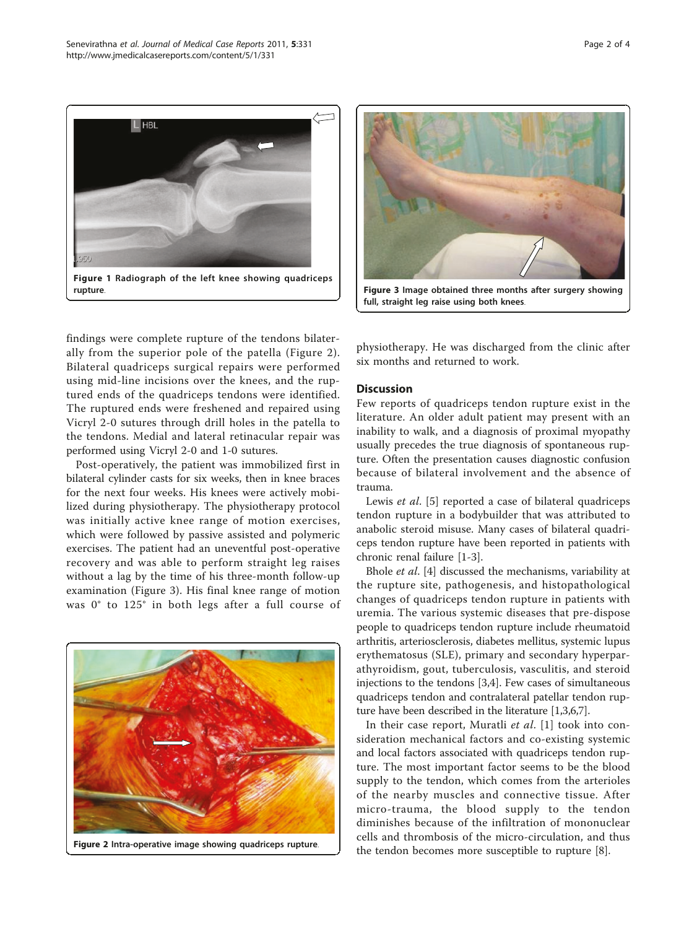<span id="page-1-0"></span>



full, straight leg raise using both knees.

findings were complete rupture of the tendons bilaterally from the superior pole of the patella (Figure 2). Bilateral quadriceps surgical repairs were performed using mid-line incisions over the knees, and the ruptured ends of the quadriceps tendons were identified. The ruptured ends were freshened and repaired using Vicryl 2-0 sutures through drill holes in the patella to the tendons. Medial and lateral retinacular repair was performed using Vicryl 2-0 and 1-0 sutures.

Post-operatively, the patient was immobilized first in bilateral cylinder casts for six weeks, then in knee braces for the next four weeks. His knees were actively mobilized during physiotherapy. The physiotherapy protocol was initially active knee range of motion exercises, which were followed by passive assisted and polymeric exercises. The patient had an uneventful post-operative recovery and was able to perform straight leg raises without a lag by the time of his three-month follow-up examination (Figure 3). His final knee range of motion was 0° to 125° in both legs after a full course of



physiotherapy. He was discharged from the clinic after six months and returned to work.

#### **Discussion**

Few reports of quadriceps tendon rupture exist in the literature. An older adult patient may present with an inability to walk, and a diagnosis of proximal myopathy usually precedes the true diagnosis of spontaneous rupture. Often the presentation causes diagnostic confusion because of bilateral involvement and the absence of trauma.

Lewis *et al.* [\[5](#page-3-0)] reported a case of bilateral quadriceps tendon rupture in a bodybuilder that was attributed to anabolic steroid misuse. Many cases of bilateral quadriceps tendon rupture have been reported in patients with chronic renal failure [\[1](#page-3-0)-[3\]](#page-3-0).

Bhole et al. [\[4\]](#page-3-0) discussed the mechanisms, variability at the rupture site, pathogenesis, and histopathological changes of quadriceps tendon rupture in patients with uremia. The various systemic diseases that pre-dispose people to quadriceps tendon rupture include rheumatoid arthritis, arteriosclerosis, diabetes mellitus, systemic lupus erythematosus (SLE), primary and secondary hyperparathyroidism, gout, tuberculosis, vasculitis, and steroid injections to the tendons [[3](#page-3-0),[4](#page-3-0)]. Few cases of simultaneous quadriceps tendon and contralateral patellar tendon rupture have been described in the literature [\[1,3,6,7](#page-3-0)].

In their case report, Muratli et al. [[1](#page-3-0)] took into consideration mechanical factors and co-existing systemic and local factors associated with quadriceps tendon rupture. The most important factor seems to be the blood supply to the tendon, which comes from the arterioles of the nearby muscles and connective tissue. After micro-trauma, the blood supply to the tendon diminishes because of the infiltration of mononuclear cells and thrombosis of the micro-circulation, and thus the tendon becomes more susceptible to rupture [[8\]](#page-3-0).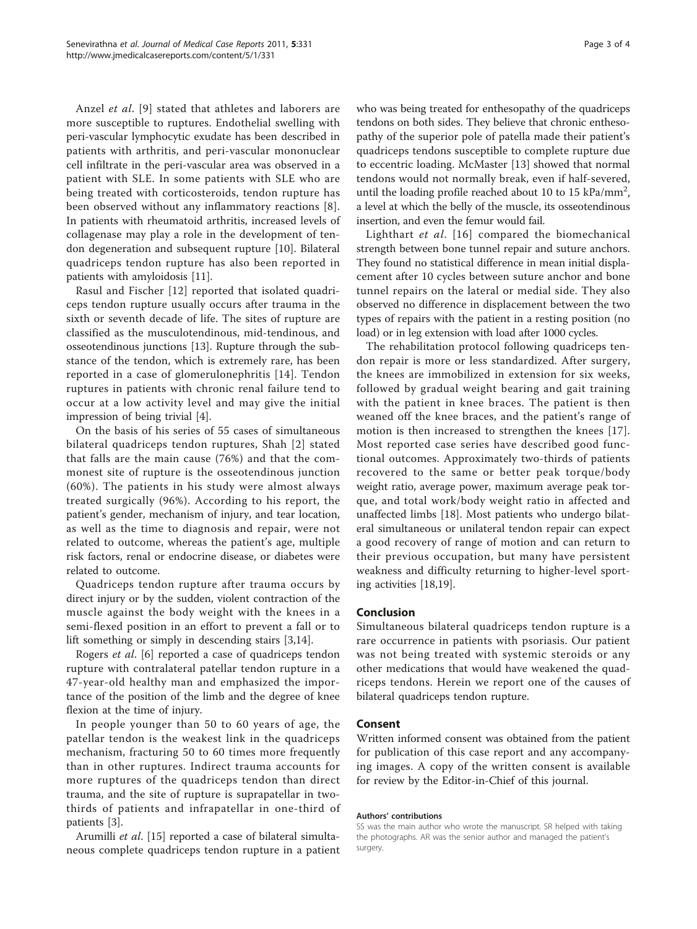Anzel et al. [[9](#page-3-0)] stated that athletes and laborers are more susceptible to ruptures. Endothelial swelling with peri-vascular lymphocytic exudate has been described in patients with arthritis, and peri-vascular mononuclear cell infiltrate in the peri-vascular area was observed in a patient with SLE. In some patients with SLE who are being treated with corticosteroids, tendon rupture has been observed without any inflammatory reactions [[8](#page-3-0)]. In patients with rheumatoid arthritis, increased levels of collagenase may play a role in the development of tendon degeneration and subsequent rupture [\[10\]](#page-3-0). Bilateral quadriceps tendon rupture has also been reported in patients with amyloidosis [[11](#page-3-0)].

Rasul and Fischer [[12](#page-3-0)] reported that isolated quadriceps tendon rupture usually occurs after trauma in the sixth or seventh decade of life. The sites of rupture are classified as the musculotendinous, mid-tendinous, and osseotendinous junctions [\[13](#page-3-0)]. Rupture through the substance of the tendon, which is extremely rare, has been reported in a case of glomerulonephritis [[14](#page-3-0)]. Tendon ruptures in patients with chronic renal failure tend to occur at a low activity level and may give the initial impression of being trivial [[4](#page-3-0)].

On the basis of his series of 55 cases of simultaneous bilateral quadriceps tendon ruptures, Shah [[2\]](#page-3-0) stated that falls are the main cause (76%) and that the commonest site of rupture is the osseotendinous junction (60%). The patients in his study were almost always treated surgically (96%). According to his report, the patient's gender, mechanism of injury, and tear location, as well as the time to diagnosis and repair, were not related to outcome, whereas the patient's age, multiple risk factors, renal or endocrine disease, or diabetes were related to outcome.

Quadriceps tendon rupture after trauma occurs by direct injury or by the sudden, violent contraction of the muscle against the body weight with the knees in a semi-flexed position in an effort to prevent a fall or to lift something or simply in descending stairs [[3,14\]](#page-3-0).

Rogers et al. [[6\]](#page-3-0) reported a case of quadriceps tendon rupture with contralateral patellar tendon rupture in a 47-year-old healthy man and emphasized the importance of the position of the limb and the degree of knee flexion at the time of injury.

In people younger than 50 to 60 years of age, the patellar tendon is the weakest link in the quadriceps mechanism, fracturing 50 to 60 times more frequently than in other ruptures. Indirect trauma accounts for more ruptures of the quadriceps tendon than direct trauma, and the site of rupture is suprapatellar in twothirds of patients and infrapatellar in one-third of patients [\[3\]](#page-3-0).

Arumilli et al. [[15\]](#page-3-0) reported a case of bilateral simultaneous complete quadriceps tendon rupture in a patient who was being treated for enthesopathy of the quadriceps tendons on both sides. They believe that chronic enthesopathy of the superior pole of patella made their patient's quadriceps tendons susceptible to complete rupture due to eccentric loading. McMaster [[13\]](#page-3-0) showed that normal tendons would not normally break, even if half-severed, until the loading profile reached about 10 to 15 kPa/mm<sup>2</sup>, a level at which the belly of the muscle, its osseotendinous insertion, and even the femur would fail.

Lighthart et al. [[16\]](#page-3-0) compared the biomechanical strength between bone tunnel repair and suture anchors. They found no statistical difference in mean initial displacement after 10 cycles between suture anchor and bone tunnel repairs on the lateral or medial side. They also observed no difference in displacement between the two types of repairs with the patient in a resting position (no load) or in leg extension with load after 1000 cycles.

The rehabilitation protocol following quadriceps tendon repair is more or less standardized. After surgery, the knees are immobilized in extension for six weeks, followed by gradual weight bearing and gait training with the patient in knee braces. The patient is then weaned off the knee braces, and the patient's range of motion is then increased to strengthen the knees [[17](#page-3-0)]. Most reported case series have described good functional outcomes. Approximately two-thirds of patients recovered to the same or better peak torque/body weight ratio, average power, maximum average peak torque, and total work/body weight ratio in affected and unaffected limbs [[18\]](#page-3-0). Most patients who undergo bilateral simultaneous or unilateral tendon repair can expect a good recovery of range of motion and can return to their previous occupation, but many have persistent weakness and difficulty returning to higher-level sporting activities [\[18,19\]](#page-3-0).

## Conclusion

Simultaneous bilateral quadriceps tendon rupture is a rare occurrence in patients with psoriasis. Our patient was not being treated with systemic steroids or any other medications that would have weakened the quadriceps tendons. Herein we report one of the causes of bilateral quadriceps tendon rupture.

## Consent

Written informed consent was obtained from the patient for publication of this case report and any accompanying images. A copy of the written consent is available for review by the Editor-in-Chief of this journal.

#### Authors' contributions

SS was the main author who wrote the manuscript. SR helped with taking the photographs. AR was the senior author and managed the patient's surgery.